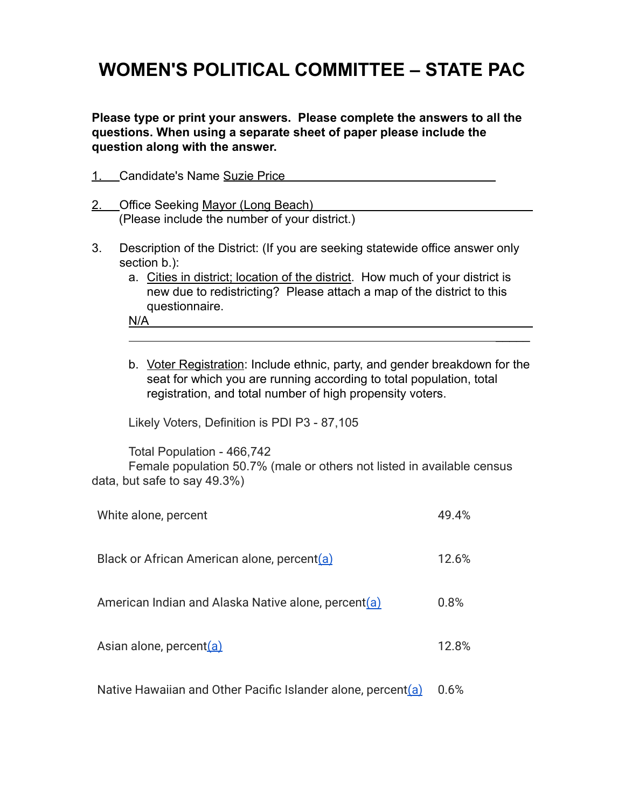## **WOMEN'S POLITICAL COMMITTEE – STATE PAC**

**Please type or print your answers. Please complete the answers to all the questions. When using a separate sheet of paper please include the question along with the answer.**

| Candidate's Name Suzie Price                  |
|-----------------------------------------------|
| 2. Office Seeking Mayor (Long Beach)          |
| (Please include the number of your district.) |

- 3. Description of the District: (If you are seeking statewide office answer only section b.):
	- a. Cities in district; location of the district. How much of your district is new due to redistricting? Please attach a map of the district to this questionnaire.

N/A

b. Voter Registration: Include ethnic, party, and gender breakdown for the seat for which you are running according to total population, total registration, and total number of high propensity voters.

 $\mathcal{L}$ 

Likely Voters, Definition is PDI P3 - 87,105

Total Population - 466,742 Female population 50.7% (male or others not listed in available census data, but safe to say 49.3%)

| White alone, percent                                            | 49.4% |
|-----------------------------------------------------------------|-------|
| Black or African American alone, percent(a)                     | 12.6% |
| American Indian and Alaska Native alone, percent(a)             | 0.8%  |
| Asian alone, percent(a)                                         | 12.8% |
| Native Hawaiian and Other Pacific Islander alone, percent $(a)$ | 0.6%  |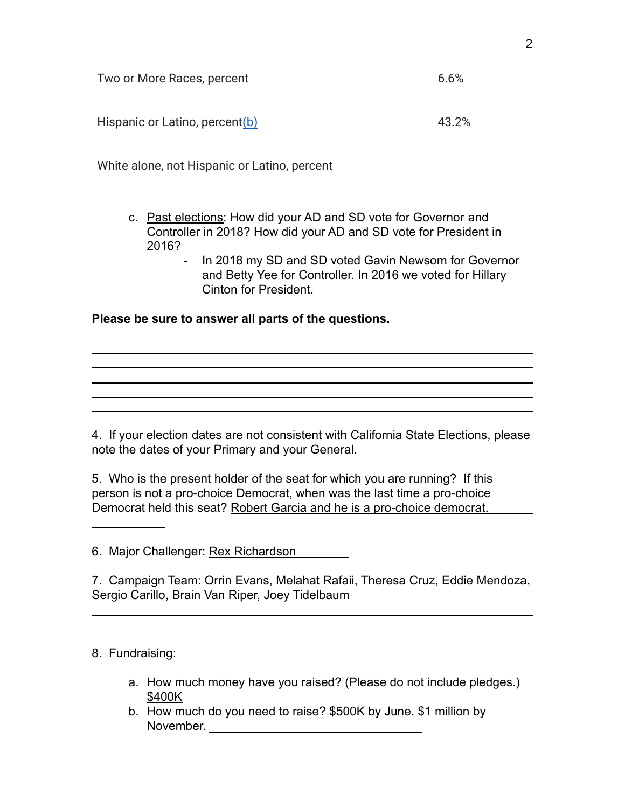| Two or More Races, percent     |       |  |
|--------------------------------|-------|--|
|                                |       |  |
| Hispanic or Latino, percent(b) | 43.2% |  |

White alone, not Hispanic or Latino, percent

- c. Past elections: How did your AD and SD vote for Governor and Controller in 2018? How did your AD and SD vote for President in 2016?
	- In 2018 my SD and SD voted Gavin Newsom for Governor and Betty Yee for Controller. In 2016 we voted for Hillary Cinton for President.

and the control of the control of the control of the control of the control of the control of the control of the

**Please be sure to answer all parts of the questions.**

4. If your election dates are not consistent with California State Elections, please note the dates of your Primary and your General.

5. Who is the present holder of the seat for which you are running? If this person is not a pro-choice Democrat, when was the last time a pro-choice Democrat held this seat? Robert Garcia and he is a pro-choice democrat.

6. Major Challenger: Rex Richardson

7. Campaign Team: Orrin Evans, Melahat Rafaii, Theresa Cruz, Eddie Mendoza, Sergio Carillo, Brain Van Riper, Joey Tidelbaum

8. Fundraising:

- a. How much money have you raised? (Please do not include pledges.) \$400K
- b. How much do you need to raise? \$500K by June. \$1 million by November.

2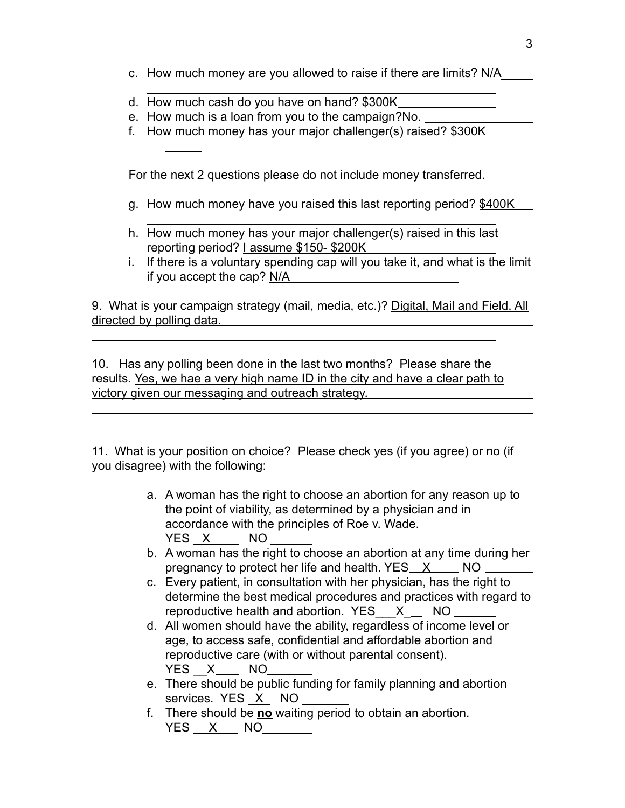- c. How much money are you allowed to raise if there are limits? N/A
- d. How much cash do you have on hand? \$300K
- e. How much is a loan from you to the campaign?No.
- f. How much money has your major challenger(s) raised? \$300K

For the next 2 questions please do not include money transferred.

- g. How much money have you raised this last reporting period? \$400K
- h. How much money has your major challenger(s) raised in this last reporting period? I assume \$150- \$200K
- i. If there is a voluntary spending cap will you take it, and what is the limit if you accept the cap? N/A

9. What is your campaign strategy (mail, media, etc.)? Digital, Mail and Field. All directed by polling data.

10. Has any polling been done in the last two months? Please share the results. Yes, we hae a very high name ID in the city and have a clear path to victory given our messaging and outreach strategy.

11. What is your position on choice? Please check yes (if you agree) or no (if you disagree) with the following:

- a. A woman has the right to choose an abortion for any reason up to the point of viability, as determined by a physician and in accordance with the principles of Roe v. Wade. YES X NO
- b. A woman has the right to choose an abortion at any time during her pregnancy to protect her life and health. YES X NO
- c. Every patient, in consultation with her physician, has the right to determine the best medical procedures and practices with regard to reproductive health and abortion. YES  $X$   $\equiv$  NO  $\equiv$
- d. All women should have the ability, regardless of income level or age, to access safe, confidential and affordable abortion and reproductive care (with or without parental consent). YES X NO
- e. There should be public funding for family planning and abortion services. YES X NO
- f. There should be **no** waiting period to obtain an abortion.  $YES \_ X \_ NO \_$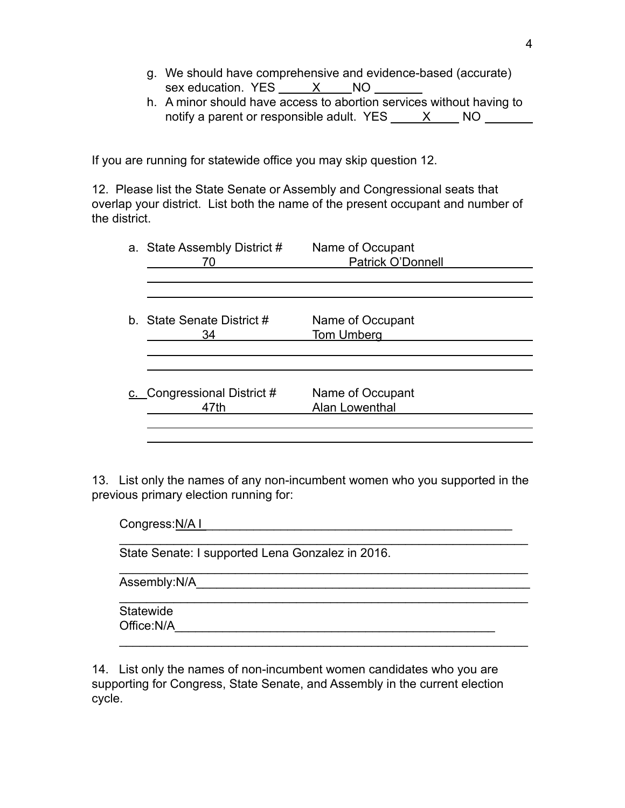- g. We should have comprehensive and evidence-based (accurate) sex education. YES X NO
- h. A minor should have access to abortion services without having to notify a parent or responsible adult. YES X NO

If you are running for statewide office you may skip question 12.

12. Please list the State Senate or Assembly and Congressional seats that overlap your district. List both the name of the present occupant and number of the district.

| a. State Assembly District #<br>70  | Name of Occupant<br>Patrick O'Donnell |  |
|-------------------------------------|---------------------------------------|--|
|                                     |                                       |  |
| b. State Senate District #<br>34    | Name of Occupant<br><b>Tom Umberg</b> |  |
| c. Congressional District #<br>47th | Name of Occupant<br>Alan Lowenthal    |  |
|                                     |                                       |  |

13. List only the names of any non-incumbent women who you supported in the previous primary election running for:

Congress:N/A I \_\_\_\_\_\_\_\_\_\_\_\_\_\_\_\_\_\_\_\_\_\_\_\_\_\_\_\_\_\_\_\_\_\_\_\_\_\_\_\_\_\_\_\_\_  $\mathcal{L}_\text{max} = \mathcal{L}_\text{max} = \mathcal{L}_\text{max} = \mathcal{L}_\text{max} = \mathcal{L}_\text{max} = \mathcal{L}_\text{max} = \mathcal{L}_\text{max} = \mathcal{L}_\text{max} = \mathcal{L}_\text{max} = \mathcal{L}_\text{max} = \mathcal{L}_\text{max} = \mathcal{L}_\text{max} = \mathcal{L}_\text{max} = \mathcal{L}_\text{max} = \mathcal{L}_\text{max} = \mathcal{L}_\text{max} = \mathcal{L}_\text{max} = \mathcal{L}_\text{max} = \mathcal{$ 

 $\mathcal{L}_\text{max} = \mathcal{L}_\text{max} = \mathcal{L}_\text{max} = \mathcal{L}_\text{max} = \mathcal{L}_\text{max} = \mathcal{L}_\text{max} = \mathcal{L}_\text{max} = \mathcal{L}_\text{max} = \mathcal{L}_\text{max} = \mathcal{L}_\text{max} = \mathcal{L}_\text{max} = \mathcal{L}_\text{max} = \mathcal{L}_\text{max} = \mathcal{L}_\text{max} = \mathcal{L}_\text{max} = \mathcal{L}_\text{max} = \mathcal{L}_\text{max} = \mathcal{L}_\text{max} = \mathcal{$ 

State Senate: I supported Lena Gonzalez in 2016.

Assembly:N/A

Statewide Office:N/A\_\_\_\_\_\_\_\_\_\_\_\_\_\_\_\_\_\_\_\_\_\_\_\_\_\_\_\_\_\_\_\_\_\_\_\_\_\_\_\_\_\_\_\_\_\_\_

14. List only the names of non-incumbent women candidates who you are supporting for Congress, State Senate, and Assembly in the current election cycle.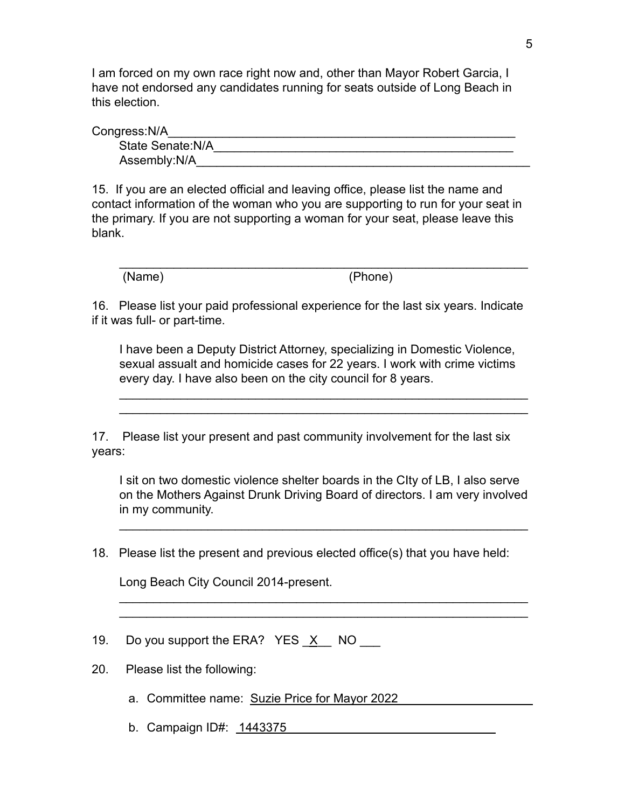I am forced on my own race right now and, other than Mayor Robert Garcia, I have not endorsed any candidates running for seats outside of Long Beach in this election.

Congress:N/A

| 11000.IVA         |  |
|-------------------|--|
| State Senate: N/A |  |
| Assembly:N/A      |  |

15. If you are an elected official and leaving office, please list the name and contact information of the woman who you are supporting to run for your seat in the primary. If you are not supporting a woman for your seat, please leave this blank.

(Name) (Phone)

16. Please list your paid professional experience for the last six years. Indicate if it was full- or part-time.

I have been a Deputy District Attorney, specializing in Domestic Violence, sexual assualt and homicide cases for 22 years. I work with crime victims every day. I have also been on the city council for 8 years.

 $\mathcal{L}_\text{max} = \mathcal{L}_\text{max} = \mathcal{L}_\text{max} = \mathcal{L}_\text{max} = \mathcal{L}_\text{max} = \mathcal{L}_\text{max} = \mathcal{L}_\text{max} = \mathcal{L}_\text{max} = \mathcal{L}_\text{max} = \mathcal{L}_\text{max} = \mathcal{L}_\text{max} = \mathcal{L}_\text{max} = \mathcal{L}_\text{max} = \mathcal{L}_\text{max} = \mathcal{L}_\text{max} = \mathcal{L}_\text{max} = \mathcal{L}_\text{max} = \mathcal{L}_\text{max} = \mathcal{$  $\mathcal{L}_\text{max} = \mathcal{L}_\text{max} = \mathcal{L}_\text{max} = \mathcal{L}_\text{max} = \mathcal{L}_\text{max} = \mathcal{L}_\text{max} = \mathcal{L}_\text{max} = \mathcal{L}_\text{max} = \mathcal{L}_\text{max} = \mathcal{L}_\text{max} = \mathcal{L}_\text{max} = \mathcal{L}_\text{max} = \mathcal{L}_\text{max} = \mathcal{L}_\text{max} = \mathcal{L}_\text{max} = \mathcal{L}_\text{max} = \mathcal{L}_\text{max} = \mathcal{L}_\text{max} = \mathcal{$ 

 $\mathcal{L}_\text{max} = \mathcal{L}_\text{max} = \mathcal{L}_\text{max} = \mathcal{L}_\text{max} = \mathcal{L}_\text{max} = \mathcal{L}_\text{max} = \mathcal{L}_\text{max} = \mathcal{L}_\text{max} = \mathcal{L}_\text{max} = \mathcal{L}_\text{max} = \mathcal{L}_\text{max} = \mathcal{L}_\text{max} = \mathcal{L}_\text{max} = \mathcal{L}_\text{max} = \mathcal{L}_\text{max} = \mathcal{L}_\text{max} = \mathcal{L}_\text{max} = \mathcal{L}_\text{max} = \mathcal{$ 

17. Please list your present and past community involvement for the last six years:

I sit on two domestic violence shelter boards in the CIty of LB, I also serve on the Mothers Against Drunk Driving Board of directors. I am very involved in my community.

 $\mathcal{L}_\text{max} = \mathcal{L}_\text{max} = \mathcal{L}_\text{max} = \mathcal{L}_\text{max} = \mathcal{L}_\text{max} = \mathcal{L}_\text{max} = \mathcal{L}_\text{max} = \mathcal{L}_\text{max} = \mathcal{L}_\text{max} = \mathcal{L}_\text{max} = \mathcal{L}_\text{max} = \mathcal{L}_\text{max} = \mathcal{L}_\text{max} = \mathcal{L}_\text{max} = \mathcal{L}_\text{max} = \mathcal{L}_\text{max} = \mathcal{L}_\text{max} = \mathcal{L}_\text{max} = \mathcal{$ 

 $\mathcal{L}_\text{max} = \mathcal{L}_\text{max} = \mathcal{L}_\text{max} = \mathcal{L}_\text{max} = \mathcal{L}_\text{max} = \mathcal{L}_\text{max} = \mathcal{L}_\text{max} = \mathcal{L}_\text{max} = \mathcal{L}_\text{max} = \mathcal{L}_\text{max} = \mathcal{L}_\text{max} = \mathcal{L}_\text{max} = \mathcal{L}_\text{max} = \mathcal{L}_\text{max} = \mathcal{L}_\text{max} = \mathcal{L}_\text{max} = \mathcal{L}_\text{max} = \mathcal{L}_\text{max} = \mathcal{$  $\mathcal{L}_\text{max} = \mathcal{L}_\text{max} = \mathcal{L}_\text{max} = \mathcal{L}_\text{max} = \mathcal{L}_\text{max} = \mathcal{L}_\text{max} = \mathcal{L}_\text{max} = \mathcal{L}_\text{max} = \mathcal{L}_\text{max} = \mathcal{L}_\text{max} = \mathcal{L}_\text{max} = \mathcal{L}_\text{max} = \mathcal{L}_\text{max} = \mathcal{L}_\text{max} = \mathcal{L}_\text{max} = \mathcal{L}_\text{max} = \mathcal{L}_\text{max} = \mathcal{L}_\text{max} = \mathcal{$ 

18. Please list the present and previous elected office(s) that you have held:

Long Beach City Council 2014-present.

19. Do you support the ERA? YES X NO

20. Please list the following:

- a. Committee name: Suzie Price for Mayor 2022
- b. Campaign ID#: 1443375